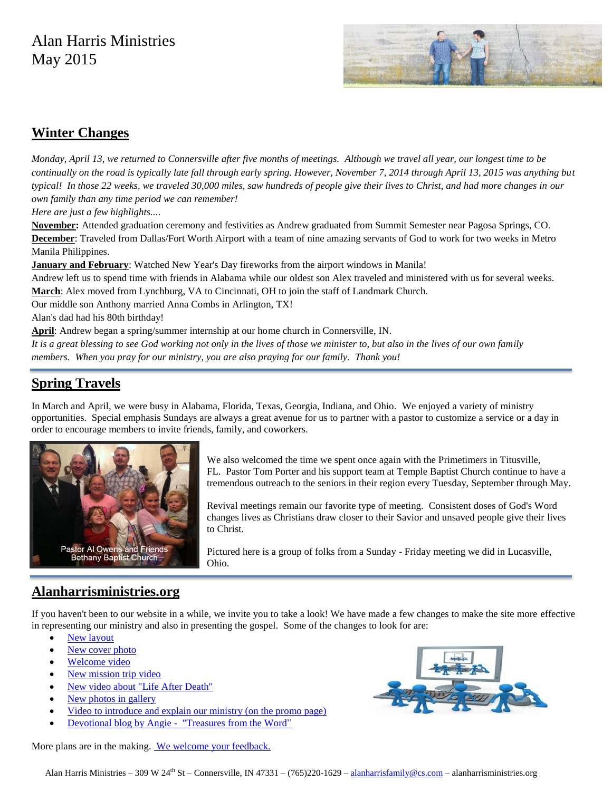# Alan Harris Ministries May 2015



#### **Winter Changes**

*Monday, April 13, we returned to Connersville after five months of meetings. Although we travel all year, our longest time to be continually on the road is typically late fall through early spring. However, November 7, 2014 through April 13, 2015 was anything but typical! In those 22 weeks, we traveled 30,000 miles, saw hundreds of people give their lives to Christ, and had more changes in our own family than any time period we can remember!*

*Here are just a few highlights...*.

**November:** Attended graduation ceremony and festivities as Andrew graduated from Summit Semester near Pagosa Springs, CO. **December**: Traveled from Dallas/Fort Worth Airport with a team of nine amazing servants of God to work for two weeks in Metro Manila Philippines.

**January and February**: Watched New Year's Day fireworks from the airport windows in Manila!

Andrew left us to spend time with friends in Alabama while our oldest son Alex traveled and ministered with us for several weeks. **March**: Alex moved from Lynchburg, VA to Cincinnati, OH to join the staff of Landmark Church.

Our middle son Anthony married Anna Combs in Arlington, TX!

Alan's dad had his 80th birthday!

**April**: Andrew began a spring/summer internship at our home church in Connersville, IN.

*It is a great blessing to see God working not only in the lives of those we minister to, but also in the lives of our own family members. When you pray for our ministry, you are also praying for our family. Thank you!*

## **Spring Travels**

In March and April, we were busy in Alabama, Florida, Texas, Georgia, Indiana, and Ohio. We enjoyed a variety of ministry opportunities. Special emphasis Sundays are always a great avenue for us to partner with a pastor to customize a service or a day in order to encourage members to invite friends, family, and coworkers.



We also welcomed the time we spent once again with the Primetimers in Titusville, FL. Pastor Tom Porter and his support team at Temple Baptist Church continue to have a tremendous outreach to the seniors in their region every Tuesday, September through May.

Revival meetings remain our favorite type of meeting. Consistent doses of God's Word changes lives as Christians draw closer to their Savior and unsaved people give their lives to Christ.

Pictured here is a group of folks from a Sunday - Friday meeting we did in Lucasville, Ohio.

### **Alanharrisministries.org**

If you haven't been to our website in a while, we invite you to take a look! We have made a few changes to make the site more effective in representing our ministry and also in presenting the gospel. Some of the changes to look for are:

- New layout
- New cover photo
- Welcome video
- New mission trip video
- New video about "Life After Death"
- New photos in gallery
- Video to introduce and explain our ministry (on the promo page)
- Devotional blog by Angie "Treasures from the Word"



More plans are in the making. We welcome your feedback.